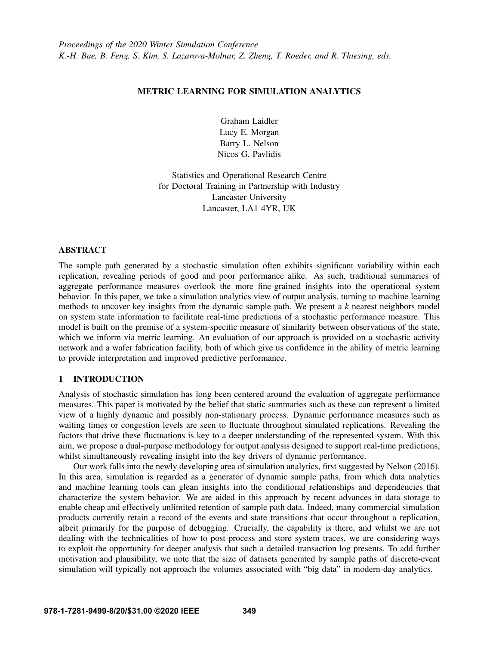# METRIC LEARNING FOR SIMULATION ANALYTICS

Graham Laidler Lucy E. Morgan Barry L. Nelson Nicos G. Pavlidis

Statistics and Operational Research Centre for Doctoral Training in Partnership with Industry Lancaster University Lancaster, LA1 4YR, UK

## ABSTRACT

The sample path generated by a stochastic simulation often exhibits significant variability within each replication, revealing periods of good and poor performance alike. As such, traditional summaries of aggregate performance measures overlook the more fine-grained insights into the operational system behavior. In this paper, we take a simulation analytics view of output analysis, turning to machine learning methods to uncover key insights from the dynamic sample path. We present a *k* nearest neighbors model on system state information to facilitate real-time predictions of a stochastic performance measure. This model is built on the premise of a system-specific measure of similarity between observations of the state, which we inform via metric learning. An evaluation of our approach is provided on a stochastic activity network and a wafer fabrication facility, both of which give us confidence in the ability of metric learning to provide interpretation and improved predictive performance.

# 1 INTRODUCTION

Analysis of stochastic simulation has long been centered around the evaluation of aggregate performance measures. This paper is motivated by the belief that static summaries such as these can represent a limited view of a highly dynamic and possibly non-stationary process. Dynamic performance measures such as waiting times or congestion levels are seen to fluctuate throughout simulated replications. Revealing the factors that drive these fluctuations is key to a deeper understanding of the represented system. With this aim, we propose a dual-purpose methodology for output analysis designed to support real-time predictions, whilst simultaneously revealing insight into the key drivers of dynamic performance.

Our work falls into the newly developing area of simulation analytics, first suggested by [Nelson \(2016\).](#page-11-0) In this area, simulation is regarded as a generator of dynamic sample paths, from which data analytics and machine learning tools can glean insights into the conditional relationships and dependencies that characterize the system behavior. We are aided in this approach by recent advances in data storage to enable cheap and effectively unlimited retention of sample path data. Indeed, many commercial simulation products currently retain a record of the events and state transitions that occur throughout a replication, albeit primarily for the purpose of debugging. Crucially, the capability is there, and whilst we are not dealing with the technicalities of how to post-process and store system traces, we are considering ways to exploit the opportunity for deeper analysis that such a detailed transaction log presents. To add further motivation and plausibility, we note that the size of datasets generated by sample paths of discrete-event simulation will typically not approach the volumes associated with "big data" in modern-day analytics.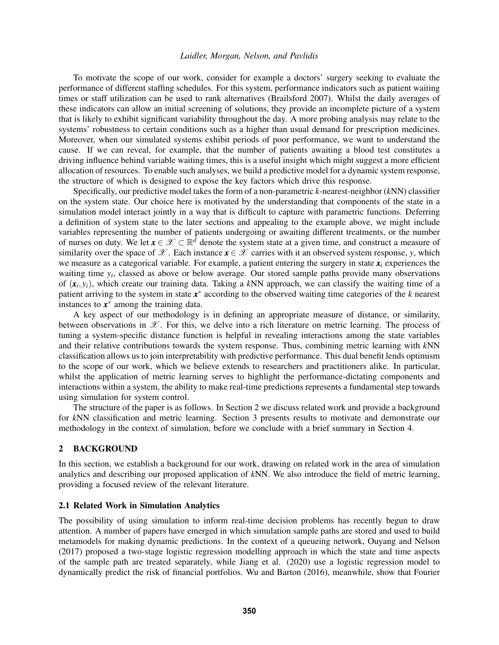To motivate the scope of our work, consider for example a doctors' surgery seeking to evaluate the performance of different staffing schedules. For this system, performance indicators such as patient waiting times or staff utilization can be used to rank alternatives [\(Brailsford 2007\)](#page-10-0). Whilst the daily averages of these indicators can allow an initial screening of solutions, they provide an incomplete picture of a system that is likely to exhibit significant variability throughout the day. A more probing analysis may relate to the systems' robustness to certain conditions such as a higher than usual demand for prescription medicines. Moreover, when our simulated systems exhibit periods of poor performance, we want to understand the cause. If we can reveal, for example, that the number of patients awaiting a blood test constitutes a driving influence behind variable waiting times, this is a useful insight which might suggest a more efficient allocation of resources. To enable such analyses, we build a predictive model for a dynamic system response, the structure of which is designed to expose the key factors which drive this response.

Specifically, our predictive model takes the form of a non-parametric *k*-nearest-neighbor (*k*NN) classifier on the system state. Our choice here is motivated by the understanding that components of the state in a simulation model interact jointly in a way that is difficult to capture with parametric functions. Deferring a definition of system state to the later sections and appealing to the example above, we might include variables representing the number of patients undergoing or awaiting different treatments, or the number of nurses on duty. We let  $x \in \mathcal{X} \subset \mathbb{R}^d$  denote the system state at a given time, and construct a measure of similarity over the space of  $\mathscr X$ . Each instance  $x \in \mathscr X$  carries with it an observed system response, *y*, which we measure as a categorical variable. For example, a patient entering the surgery in state  $x_i$  experiences the waiting time *y<sup>i</sup>* , classed as above or below average. Our stored sample paths provide many observations of (*x<sup>i</sup>* , *yi*), which create our training data. Taking a *k*NN approach, we can classify the waiting time of a patient arriving to the system in state  $x^*$  according to the observed waiting time categories of the *k* nearest instances to  $x^*$  among the training data.

A key aspect of our methodology is in defining an appropriate measure of distance, or similarity, between observations in  $\mathscr X$ . For this, we delve into a rich literature on metric learning. The process of tuning a system-specific distance function is helpful in revealing interactions among the state variables and their relative contributions towards the system response. Thus, combining metric learning with *k*NN classification allows us to join interpretability with predictive performance. This dual benefit lends optimism to the scope of our work, which we believe extends to researchers and practitioners alike. In particular, whilst the application of metric learning serves to highlight the performance-dictating components and interactions within a system, the ability to make real-time predictions represents a fundamental step towards using simulation for system control.

The structure of the paper is as follows. In Section [2](#page-1-0) we discuss related work and provide a background for *k*NN classification and metric learning. Section [3](#page-4-0) presents results to motivate and demonstrate our methodology in the context of simulation, before we conclude with a brief summary in Section [4.](#page-10-1)

### <span id="page-1-0"></span>2 BACKGROUND

In this section, we establish a background for our work, drawing on related work in the area of simulation analytics and describing our proposed application of *k*NN. We also introduce the field of metric learning, providing a focused review of the relevant literature.

## 2.1 Related Work in Simulation Analytics

The possibility of using simulation to inform real-time decision problems has recently begun to draw attention. A number of papers have emerged in which simulation sample paths are stored and used to build metamodels for making dynamic predictions. In the context of a queueing network, [Ouyang and Nelson](#page-11-1) [\(2017\)](#page-11-1) proposed a two-stage logistic regression modelling approach in which the state and time aspects of the sample path are treated separately, while [Jiang et al. \(2020\)](#page-11-2) use a logistic regression model to dynamically predict the risk of financial portfolios. [Wu and Barton \(2016\),](#page-11-3) meanwhile, show that Fourier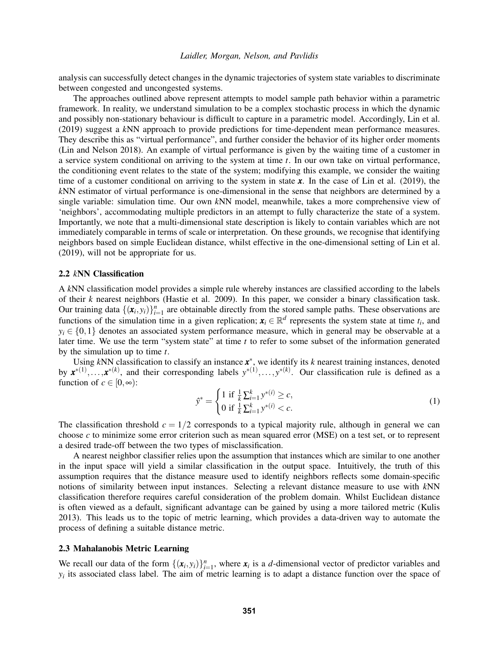analysis can successfully detect changes in the dynamic trajectories of system state variables to discriminate between congested and uncongested systems.

The approaches outlined above represent attempts to model sample path behavior within a parametric framework. In reality, we understand simulation to be a complex stochastic process in which the dynamic and possibly non-stationary behaviour is difficult to capture in a parametric model. Accordingly, [Lin et al.](#page-11-4) [\(2019\)](#page-11-4) suggest a *k*NN approach to provide predictions for time-dependent mean performance measures. They describe this as "virtual performance", and further consider the behavior of its higher order moments [\(Lin and Nelson 2018\)](#page-11-5). An example of virtual performance is given by the waiting time of a customer in a service system conditional on arriving to the system at time *t*. In our own take on virtual performance, the conditioning event relates to the state of the system; modifying this example, we consider the waiting time of a customer conditional on arriving to the system in state *x*. In the case of [Lin et al. \(2019\),](#page-11-4) the *k*NN estimator of virtual performance is one-dimensional in the sense that neighbors are determined by a single variable: simulation time. Our own *k*NN model, meanwhile, takes a more comprehensive view of 'neighbors', accommodating multiple predictors in an attempt to fully characterize the state of a system. Importantly, we note that a multi-dimensional state description is likely to contain variables which are not immediately comparable in terms of scale or interpretation. On these grounds, we recognise that identifying neighbors based on simple Euclidean distance, whilst effective in the one-dimensional setting of [Lin et al.](#page-11-4) [\(2019\),](#page-11-4) will not be appropriate for us.

### 2.2 *k*NN Classification

A *k*NN classification model provides a simple rule whereby instances are classified according to the labels of their *k* nearest neighbors [\(Hastie et al. 2009\)](#page-10-2). In this paper, we consider a binary classification task. Our training data  $\{(\mathbf{x}_i, y_i)\}_{i=1}^n$  are obtainable directly from the stored sample paths. These observations are functions of the simulation time in a given replication;  $x_i \in \mathbb{R}^d$  represents the system state at time  $t_i$ , and  $y_i \in \{0,1\}$  denotes an associated system performance measure, which in general may be observable at a later time. We use the term "system state" at time *t* to refer to some subset of the information generated by the simulation up to time *t*.

Using *k*NN classification to classify an instance *x* ∗ , we identify its *k* nearest training instances, denoted by  $x^{*(1)}, \ldots, x^{*(k)}$ , and their corresponding labels  $y^{*(1)}, \ldots, y^{*(k)}$ . Our classification rule is defined as a function of  $c \in [0, \infty)$ :

<span id="page-2-0"></span>
$$
\hat{y}^* = \begin{cases} 1 \text{ if } \frac{1}{k} \sum_{i=1}^k y^{*(i)} \ge c, \\ 0 \text{ if } \frac{1}{k} \sum_{i=1}^k y^{*(i)} < c. \end{cases} \tag{1}
$$

The classification threshold  $c = 1/2$  corresponds to a typical majority rule, although in general we can choose *c* to minimize some error criterion such as mean squared error (MSE) on a test set, or to represent a desired trade-off between the two types of misclassification.

A nearest neighbor classifier relies upon the assumption that instances which are similar to one another in the input space will yield a similar classification in the output space. Intuitively, the truth of this assumption requires that the distance measure used to identify neighbors reflects some domain-specific notions of similarity between input instances. Selecting a relevant distance measure to use with *k*NN classification therefore requires careful consideration of the problem domain. Whilst Euclidean distance is often viewed as a default, significant advantage can be gained by using a more tailored metric [\(Kulis](#page-11-6) [2013\)](#page-11-6). This leads us to the topic of metric learning, which provides a data-driven way to automate the process of defining a suitable distance metric.

# 2.3 Mahalanobis Metric Learning

We recall our data of the form  $\{(\mathbf{x}_i, y_i)\}_{i=1}^n$ , where  $\mathbf{x}_i$  is a *d*-dimensional vector of predictor variables and  $y_i$  its associated class label. The aim of metric learning is to adapt a distance function over the space of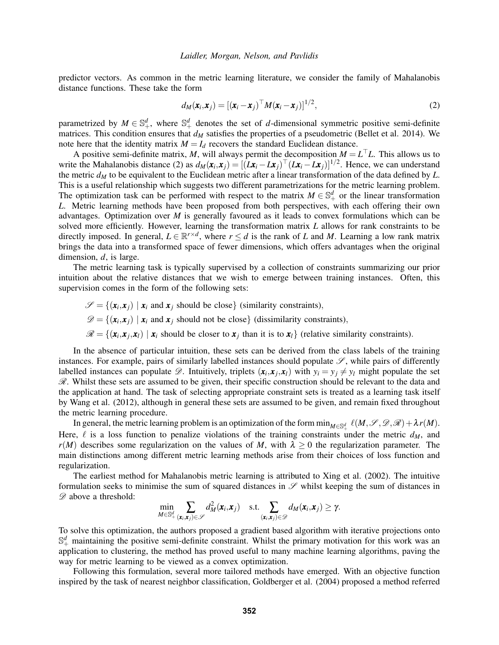predictor vectors. As common in the metric learning literature, we consider the family of Mahalanobis distance functions. These take the form

<span id="page-3-0"></span>
$$
d_M(\mathbf{x}_i, \mathbf{x}_j) = [(\mathbf{x}_i - \mathbf{x}_j)^\top M (\mathbf{x}_i - \mathbf{x}_j)]^{1/2},
$$
\n(2)

parametrized by  $M \in \mathbb{S}^d_+$ , where  $\mathbb{S}^d_+$  denotes the set of *d*-dimensional symmetric positive semi-definite matrices. This condition ensures that  $d_M$  satisfies the properties of a pseudometric [\(Bellet et al. 2014\)](#page-10-3). We note here that the identity matrix  $M = I_d$  recovers the standard Euclidean distance.

A positive semi-definite matrix, *M*, will always permit the decomposition  $M = L<sup>T</sup>L$ . This allows us to write the Mahalanobis distance [\(2\)](#page-3-0) as  $d_M(\mathbf{x}_i, \mathbf{x}_j) = [(\mathbf{L}\mathbf{x}_i - \mathbf{L}\mathbf{x}_j)^{\top} (\mathbf{L}\mathbf{x}_i - \mathbf{L}\mathbf{x}_j)]^{1/2}$ . Hence, we can understand the metric *d<sup>M</sup>* to be equivalent to the Euclidean metric after a linear transformation of the data defined by *L*. This is a useful relationship which suggests two different parametrizations for the metric learning problem. The optimization task can be performed with respect to the matrix  $M \in \mathbb{S}^d_+$  or the linear transformation *L*. Metric learning methods have been proposed from both perspectives, with each offering their own advantages. Optimization over *M* is generally favoured as it leads to convex formulations which can be solved more efficiently. However, learning the transformation matrix *L* allows for rank constraints to be directly imposed. In general,  $L \in \mathbb{R}^{r \times d}$ , where  $r \leq d$  is the rank of *L* and *M*. Learning a low rank matrix brings the data into a transformed space of fewer dimensions, which offers advantages when the original dimension, *d*, is large.

The metric learning task is typically supervised by a collection of constraints summarizing our prior intuition about the relative distances that we wish to emerge between training instances. Often, this supervision comes in the form of the following sets:

 $\mathscr{S} = \{(\mathbf{x}_i, \mathbf{x}_j) \mid \mathbf{x}_i \text{ and } \mathbf{x}_j \text{ should be close}\}\$  (similarity constraints),  $\mathscr{D} = \{(\mathbf{x}_i, \mathbf{x}_j) \mid \mathbf{x}_i \text{ and } \mathbf{x}_j \text{ should not be close}\}$  (dissimilarity constraints),  $\mathscr{R} = \{(\mathbf{x}_i, \mathbf{x}_j, \mathbf{x}_l) \mid \mathbf{x}_i \text{ should be closer to } \mathbf{x}_j \text{ than it is to } \mathbf{x}_l\} \text{ (relative similarity constraints).}$ 

In the absence of particular intuition, these sets can be derived from the class labels of the training instances. For example, pairs of similarly labelled instances should populate  $\mathscr{S}$ , while pairs of differently labelled instances can populate  $\mathscr{D}$ . Intuitively, triplets  $(x_i, x_j, x_l)$  with  $y_i = y_j \neq y_l$  might populate the set  $\mathcal{R}$ . Whilst these sets are assumed to be given, their specific construction should be relevant to the data and the application at hand. The task of selecting appropriate constraint sets is treated as a learning task itself by [Wang et al. \(2012\),](#page-11-7) although in general these sets are assumed to be given, and remain fixed throughout the metric learning procedure.

In general, the metric learning problem is an optimization of the form  $\min_{M \in \mathbb{S}_+^d} \ell(M, \mathscr{S}, \mathscr{D}, \mathscr{R}) + \lambda r(M)$ . Here,  $\ell$  is a loss function to penalize violations of the training constraints under the metric  $d_M$ , and  $r(M)$  describes some regularization on the values of *M*, with  $\lambda > 0$  the regularization parameter. The main distinctions among different metric learning methods arise from their choices of loss function and regularization.

The earliest method for Mahalanobis metric learning is attributed to [Xing et al. \(2002\).](#page-11-8) The intuitive formulation seeks to minimise the sum of squared distances in  $\mathscr S$  whilst keeping the sum of distances in  $\mathscr{D}$  above a threshold:

$$
\min_{M\in\mathbb{S}^d_+}\sum_{(\mathbf{x}_i,\mathbf{x}_j)\in\mathscr{S}}d_M^2(\mathbf{x}_i,\mathbf{x}_j)\quad \text{s.t.}\sum_{(\mathbf{x}_i,\mathbf{x}_j)\in\mathscr{D}}d_M(\mathbf{x}_i,\mathbf{x}_j)\geq\gamma.
$$

To solve this optimization, the authors proposed a gradient based algorithm with iterative projections onto  $\mathbb{S}^d_+$  maintaining the positive semi-definite constraint. Whilst the primary motivation for this work was an application to clustering, the method has proved useful to many machine learning algorithms, paving the way for metric learning to be viewed as a convex optimization.

Following this formulation, several more tailored methods have emerged. With an objective function inspired by the task of nearest neighbor classification, [Goldberger et al. \(2004\)](#page-10-4) proposed a method referred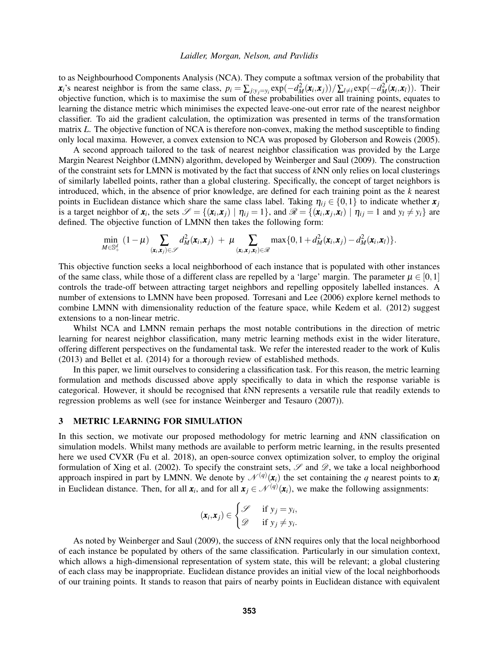to as Neighbourhood Components Analysis (NCA). They compute a softmax version of the probability that  $x_i$ 's nearest neighbor is from the same class,  $p_i = \sum_{j:y_j=y_i} \exp(-d_M^2(x_i,x_j)) / \sum_{l\neq i} \exp(-d_M^2(x_i,x_l)).$  Their objective function, which is to maximise the sum of these probabilities over all training points, equates to learning the distance metric which minimises the expected leave-one-out error rate of the nearest neighbor classifier. To aid the gradient calculation, the optimization was presented in terms of the transformation matrix *L*. The objective function of NCA is therefore non-convex, making the method susceptible to finding only local maxima. However, a convex extension to NCA was proposed by [Globerson and Roweis \(2005\).](#page-10-5)

A second approach tailored to the task of nearest neighbor classification was provided by the Large Margin Nearest Neighbor (LMNN) algorithm, developed by [Weinberger and Saul \(2009\).](#page-11-9) The construction of the constraint sets for LMNN is motivated by the fact that success of *k*NN only relies on local clusterings of similarly labelled points, rather than a global clustering. Specifically, the concept of target neighbors is introduced, which, in the absence of prior knowledge, are defined for each training point as the *k* nearest points in Euclidean distance which share the same class label. Taking  $\eta_{ij} \in \{0,1\}$  to indicate whether  $x_j$ is a target neighbor of  $x_i$ , the sets  $\mathcal{S} = \{ (x_i, x_j) \mid \eta_{ij} = 1 \}$ , and  $\mathcal{R} = \{ (x_i, x_j, x_l) \mid \eta_{ij} = 1 \text{ and } y_l \neq y_i \}$  are defined. The objective function of LMNN then takes the following form:

$$
\min_{M\in\mathbb{S}_+^d} (1-\mu) \sum_{(\mathbf{x}_i,\mathbf{x}_j)\in\mathscr{S}} d_M^2(\mathbf{x}_i,\mathbf{x}_j) + \mu \sum_{(\mathbf{x}_i,\mathbf{x}_j,\mathbf{x}_l)\in\mathscr{R}} \max\{0,1+d_M^2(\mathbf{x}_i,\mathbf{x}_j)-d_M^2(\mathbf{x}_i,\mathbf{x}_l)\}.
$$

This objective function seeks a local neighborhood of each instance that is populated with other instances of the same class, while those of a different class are repelled by a 'large' margin. The parameter  $\mu \in [0,1]$ controls the trade-off between attracting target neighbors and repelling oppositely labelled instances. A number of extensions to LMNN have been proposed. [Torresani and Lee \(2006\)](#page-11-10) explore kernel methods to combine LMNN with dimensionality reduction of the feature space, while [Kedem et al. \(2012\)](#page-11-11) suggest extensions to a non-linear metric.

Whilst NCA and LMNN remain perhaps the most notable contributions in the direction of metric learning for nearest neighbor classification, many metric learning methods exist in the wider literature, offering different perspectives on the fundamental task. We refer the interested reader to the work of [Kulis](#page-11-6) [\(2013\)](#page-11-6) and [Bellet et al. \(2014\)](#page-10-3) for a thorough review of established methods.

In this paper, we limit ourselves to considering a classification task. For this reason, the metric learning formulation and methods discussed above apply specifically to data in which the response variable is categorical. However, it should be recognised that *k*NN represents a versatile rule that readily extends to regression problems as well (see for instance [Weinberger and Tesauro \(2007\)\)](#page-11-12).

# <span id="page-4-0"></span>3 METRIC LEARNING FOR SIMULATION

In this section, we motivate our proposed methodology for metric learning and *k*NN classification on simulation models. Whilst many methods are available to perform metric learning, in the results presented here we used CVXR [\(Fu et al. 2018\)](#page-10-6), an open-source convex optimization solver, to employ the original formulation of [Xing et al. \(2002\).](#page-11-8) To specify the constraint sets,  $\mathscr S$  and  $\mathscr D$ , we take a local neighborhood approach inspired in part by LMNN. We denote by  $\mathcal{N}^{(q)}(x_i)$  the set containing the *q* nearest points to  $x_i$ in Euclidean distance. Then, for all  $x_i$ , and for all  $x_j \in \mathcal{N}^{(q)}(x_i)$ , we make the following assignments:

$$
(\mathbf{x}_i,\mathbf{x}_j) \in \begin{cases} \mathscr{S} & \text{if } y_j = y_i, \\ \mathscr{D} & \text{if } y_j \neq y_i. \end{cases}
$$

As noted by [Weinberger and Saul \(2009\),](#page-11-9) the success of *k*NN requires only that the local neighborhood of each instance be populated by others of the same classification. Particularly in our simulation context, which allows a high-dimensional representation of system state, this will be relevant; a global clustering of each class may be inappropriate. Euclidean distance provides an initial view of the local neighborhoods of our training points. It stands to reason that pairs of nearby points in Euclidean distance with equivalent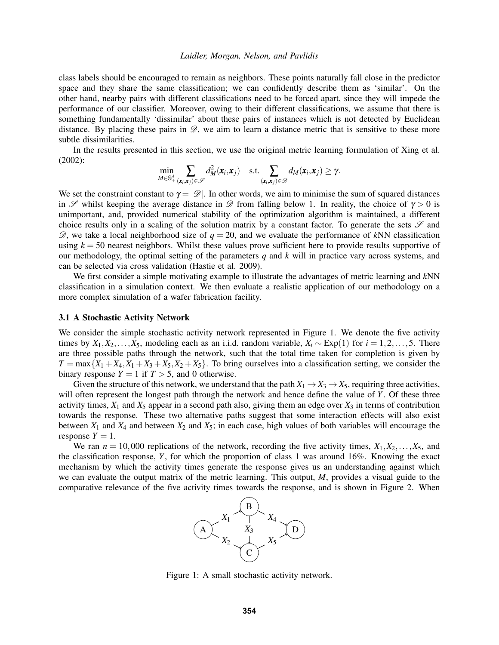class labels should be encouraged to remain as neighbors. These points naturally fall close in the predictor space and they share the same classification; we can confidently describe them as 'similar'. On the other hand, nearby pairs with different classifications need to be forced apart, since they will impede the performance of our classifier. Moreover, owing to their different classifications, we assume that there is something fundamentally 'dissimilar' about these pairs of instances which is not detected by Euclidean distance. By placing these pairs in  $\mathscr{D}$ , we aim to learn a distance metric that is sensitive to these more subtle dissimilarities.

In the results presented in this section, we use the original metric learning formulation of [Xing et al.](#page-11-8) [\(2002\):](#page-11-8)

$$
\min_{M \in \mathbb{S}^d_+} \sum_{(\mathbf{x}_i, \mathbf{x}_j) \in \mathscr{S}} d_M^2(\mathbf{x}_i, \mathbf{x}_j) \quad \text{s.t.} \sum_{(\mathbf{x}_i, \mathbf{x}_j) \in \mathscr{D}} d_M(\mathbf{x}_i, \mathbf{x}_j) \geq \gamma.
$$

We set the constraint constant to  $\gamma = |\mathcal{D}|$ . In other words, we aim to minimise the sum of squared distances in  $\mathscr S$  whilst keeping the average distance in  $\mathscr D$  from falling below 1. In reality, the choice of  $\gamma > 0$  is unimportant, and, provided numerical stability of the optimization algorithm is maintained, a different choice results only in a scaling of the solution matrix by a constant factor. To generate the sets  $\mathscr S$  and  $\mathscr{D}$ , we take a local neighborhood size of  $q = 20$ , and we evaluate the performance of kNN classification using  $k = 50$  nearest neighbors. Whilst these values prove sufficient here to provide results supportive of our methodology, the optimal setting of the parameters *q* and *k* will in practice vary across systems, and can be selected via cross validation [\(Hastie et al. 2009\)](#page-10-2).

We first consider a simple motivating example to illustrate the advantages of metric learning and *k*NN classification in a simulation context. We then evaluate a realistic application of our methodology on a more complex simulation of a wafer fabrication facility.

### 3.1 A Stochastic Activity Network

We consider the simple stochastic activity network represented in Figure [1.](#page-5-0) We denote the five activity times by  $X_1, X_2, \ldots, X_5$ , modeling each as an i.i.d. random variable,  $X_i \sim \text{Exp}(1)$  for  $i = 1, 2, \ldots, 5$ . There are three possible paths through the network, such that the total time taken for completion is given by  $T = \max\{X_1 + X_4, X_1 + X_3 + X_5, X_2 + X_5\}$ . To bring ourselves into a classification setting, we consider the binary response  $Y = 1$  if  $T > 5$ , and 0 otherwise.

Given the structure of this network, we understand that the path  $X_1 \to X_3 \to X_5$ , requiring three activities, will often represent the longest path through the network and hence define the value of *Y*. Of these three activity times,  $X_1$  and  $X_5$  appear in a second path also, giving them an edge over  $X_3$  in terms of contribution towards the response. These two alternative paths suggest that some interaction effects will also exist between  $X_1$  and  $X_4$  and between  $X_2$  and  $X_5$ ; in each case, high values of both variables will encourage the response  $Y = 1$ .

We ran  $n = 10,000$  replications of the network, recording the five activity times,  $X_1, X_2, \ldots, X_5$ , and the classification response, *Y*, for which the proportion of class 1 was around 16%. Knowing the exact mechanism by which the activity times generate the response gives us an understanding against which we can evaluate the output matrix of the metric learning. This output, *M*, provides a visual guide to the comparative relevance of the five activity times towards the response, and is shown in Figure [2.](#page-6-0) When



<span id="page-5-0"></span>Figure 1: A small stochastic activity network.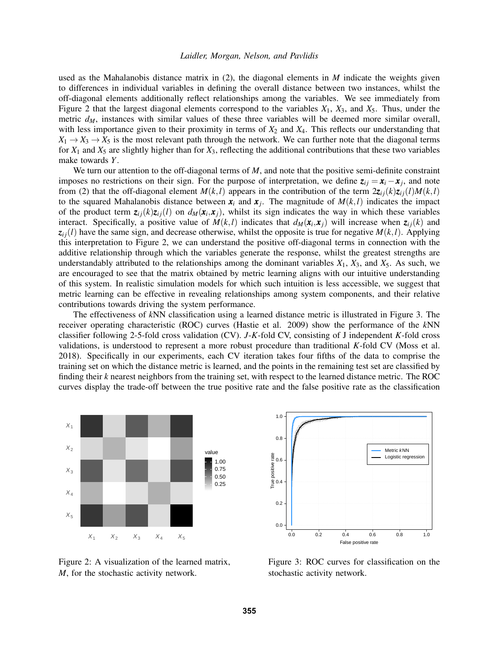used as the Mahalanobis distance matrix in [\(2\)](#page-3-0), the diagonal elements in *M* indicate the weights given to differences in individual variables in defining the overall distance between two instances, whilst the off-diagonal elements additionally reflect relationships among the variables. We see immediately from Figure [2](#page-6-0) that the largest diagonal elements correspond to the variables  $X_1$ ,  $X_3$ , and  $X_5$ . Thus, under the metric  $d_M$ , instances with similar values of these three variables will be deemed more similar overall, with less importance given to their proximity in terms of  $X_2$  and  $X_4$ . This reflects our understanding that  $X_1 \rightarrow X_3 \rightarrow X_5$  is the most relevant path through the network. We can further note that the diagonal terms for  $X_1$  and  $X_5$  are slightly higher than for  $X_3$ , reflecting the additional contributions that these two variables make towards *Y*.

We turn our attention to the off-diagonal terms of *M*, and note that the positive semi-definite constraint imposes no restrictions on their sign. For the purpose of interpretation, we define  $z_{ij} = x_i - x_j$ , and note from [\(2\)](#page-3-0) that the off-diagonal element  $M(k, l)$  appears in the contribution of the term  $2z_{ij}(k)z_{ij}(l)M(k, l)$ to the squared Mahalanobis distance between  $x_i$  and  $x_j$ . The magnitude of  $M(k, l)$  indicates the impact of the product term  $z_{ij}(k)z_{ij}(l)$  on  $d_M(x_i,x_j)$ , whilst its sign indicates the way in which these variables interact. Specifically, a positive value of  $M(k, l)$  indicates that  $d_M(\mathbf{x}_i, \mathbf{x}_j)$  will increase when  $z_{ij}(k)$  and  $z_{ij}(l)$  have the same sign, and decrease otherwise, whilst the opposite is true for negative  $M(k, l)$ . Applying this interpretation to Figure [2,](#page-6-0) we can understand the positive off-diagonal terms in connection with the additive relationship through which the variables generate the response, whilst the greatest strengths are understandably attributed to the relationships among the dominant variables  $X_1$ ,  $X_3$ , and  $X_5$ . As such, we are encouraged to see that the matrix obtained by metric learning aligns with our intuitive understanding of this system. In realistic simulation models for which such intuition is less accessible, we suggest that metric learning can be effective in revealing relationships among system components, and their relative contributions towards driving the system performance.

The effectiveness of *k*NN classification using a learned distance metric is illustrated in Figure [3.](#page-6-1) The receiver operating characteristic (ROC) curves [\(Hastie et al. 2009\)](#page-10-2) show the performance of the *k*NN classifier following 2-5-fold cross validation (CV). *J*-*K*-fold CV, consisting of J independent *K*-fold cross validations, is understood to represent a more robust procedure than traditional *K*-fold CV [\(Moss et al.](#page-11-13) [2018\)](#page-11-13). Specifically in our experiments, each CV iteration takes four fifths of the data to comprise the training set on which the distance metric is learned, and the points in the remaining test set are classified by finding their *k* nearest neighbors from the training set, with respect to the learned distance metric. The ROC curves display the trade-off between the true positive rate and the false positive rate as the classification



False positive rate True positive rate 0.0 0.2 0.4 0.6 0.8 1.0 0.0 0.2  $\frac{8}{5}$  0.4 positive rate 0.8 1.0 Metric kNN Logistic regression

<span id="page-6-0"></span>Figure 2: A visualization of the learned matrix, *M*, for the stochastic activity network.

<span id="page-6-1"></span>Figure 3: ROC curves for classification on the stochastic activity network.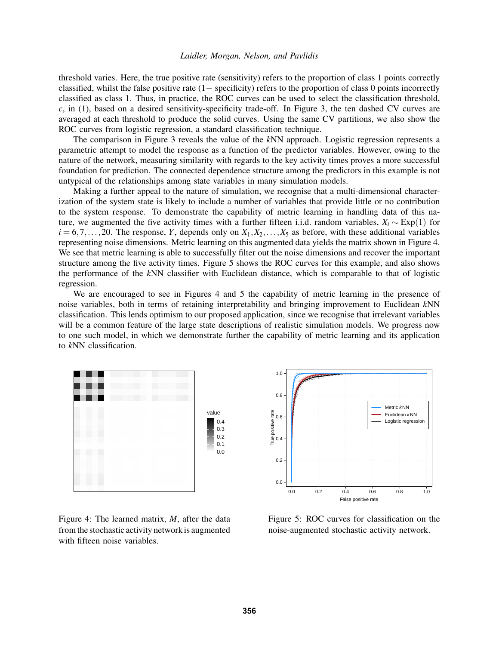threshold varies. Here, the true positive rate (sensitivity) refers to the proportion of class 1 points correctly classified, whilst the false positive rate (1− specificity) refers to the proportion of class 0 points incorrectly classified as class 1. Thus, in practice, the ROC curves can be used to select the classification threshold, *c*, in [\(1\)](#page-2-0), based on a desired sensitivity-specificity trade-off. In Figure [3,](#page-6-1) the ten dashed CV curves are averaged at each threshold to produce the solid curves. Using the same CV partitions, we also show the ROC curves from logistic regression, a standard classification technique.

The comparison in Figure [3](#page-6-1) reveals the value of the *k*NN approach. Logistic regression represents a parametric attempt to model the response as a function of the predictor variables. However, owing to the nature of the network, measuring similarity with regards to the key activity times proves a more successful foundation for prediction. The connected dependence structure among the predictors in this example is not untypical of the relationships among state variables in many simulation models.

Making a further appeal to the nature of simulation, we recognise that a multi-dimensional characterization of the system state is likely to include a number of variables that provide little or no contribution to the system response. To demonstrate the capability of metric learning in handling data of this nature, we augmented the five activity times with a further fifteen i.i.d. random variables,  $X_i \sim \text{Exp}(1)$  for  $i = 6, 7, \ldots, 20$ . The response, *Y*, depends only on  $X_1, X_2, \ldots, X_5$  as before, with these additional variables representing noise dimensions. Metric learning on this augmented data yields the matrix shown in Figure [4.](#page-7-0) We see that metric learning is able to successfully filter out the noise dimensions and recover the important structure among the five activity times. Figure [5](#page-7-1) shows the ROC curves for this example, and also shows the performance of the *k*NN classifier with Euclidean distance, which is comparable to that of logistic regression.

We are encouraged to see in Figures [4](#page-7-0) and [5](#page-7-1) the capability of metric learning in the presence of noise variables, both in terms of retaining interpretability and bringing improvement to Euclidean *k*NN classification. This lends optimism to our proposed application, since we recognise that irrelevant variables will be a common feature of the large state descriptions of realistic simulation models. We progress now to one such model, in which we demonstrate further the capability of metric learning and its application to *k*NN classification.



<span id="page-7-0"></span>Figure 4: The learned matrix, *M*, after the data from the stochastic activity network is augmented with fifteen noise variables.



<span id="page-7-1"></span>Figure 5: ROC curves for classification on the noise-augmented stochastic activity network.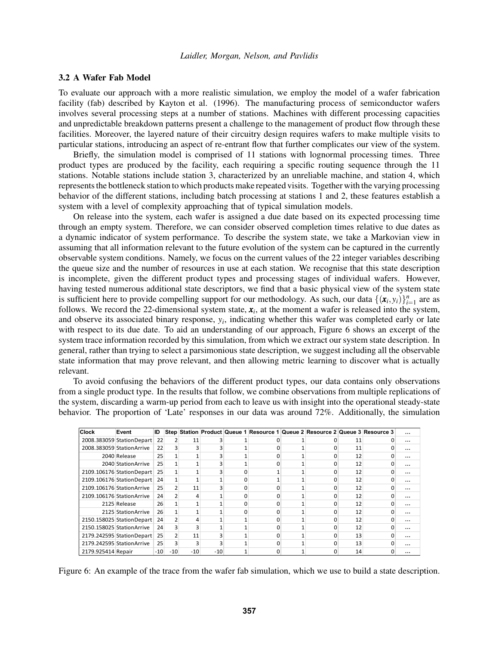### 3.2 A Wafer Fab Model

To evaluate our approach with a more realistic simulation, we employ the model of a wafer fabrication facility (fab) described by [Kayton et al. \(1996\).](#page-11-14) The manufacturing process of semiconductor wafers involves several processing steps at a number of stations. Machines with different processing capacities and unpredictable breakdown patterns present a challenge to the management of product flow through these facilities. Moreover, the layered nature of their circuitry design requires wafers to make multiple visits to particular stations, introducing an aspect of re-entrant flow that further complicates our view of the system.

Briefly, the simulation model is comprised of 11 stations with lognormal processing times. Three product types are produced by the facility, each requiring a specific routing sequence through the 11 stations. Notable stations include station 3, characterized by an unreliable machine, and station 4, which represents the bottleneck station to which products make repeated visits. Together with the varying processing behavior of the different stations, including batch processing at stations 1 and 2, these features establish a system with a level of complexity approaching that of typical simulation models.

On release into the system, each wafer is assigned a due date based on its expected processing time through an empty system. Therefore, we can consider observed completion times relative to due dates as a dynamic indicator of system performance. To describe the system state, we take a Markovian view in assuming that all information relevant to the future evolution of the system can be captured in the currently observable system conditions. Namely, we focus on the current values of the 22 integer variables describing the queue size and the number of resources in use at each station. We recognise that this state description is incomplete, given the different product types and processing stages of individual wafers. However, having tested numerous additional state descriptors, we find that a basic physical view of the system state is sufficient here to provide compelling support for our methodology. As such, our data  $\{(\mathbf{x}_i, y_i)\}_{i=1}^n$  are as In summerging the completing support for our intenduology. As such, our data  $\{x_i, y_i\}_{i=1}^n$  are as follows. We record the 22-dimensional system state,  $x_i$ , at the moment a wafer is released into the system, and observe its associated binary response, *y<sup>i</sup>* , indicating whether this wafer was completed early or late with respect to its due date. To aid an understanding of our approach, Figure [6](#page-8-0) shows an excerpt of the system trace information recorded by this simulation, from which we extract our system state description. In general, rather than trying to select a parsimonious state description, we suggest including all the observable state information that may prove relevant, and then allowing metric learning to discover what is actually relevant.

To avoid confusing the behaviors of the different product types, our data contains only observations from a single product type. In the results that follow, we combine observations from multiple replications of the system, discarding a warm-up period from each to leave us with insight into the operational steady-state behavior. The proportion of 'Late' responses in our data was around 72%. Additionally, the simulation

| <b>Clock</b>       | Event                      | ID    |                |       |       |   |  | Step Station Product Queue 1 Resource 1 Queue 2 Resource 2 Queue 3 Resource 3 |    | $\cdots$ |
|--------------------|----------------------------|-------|----------------|-------|-------|---|--|-------------------------------------------------------------------------------|----|----------|
|                    | 2008.383059 StationDepart  | 22    | 2              | 11    |       |   |  |                                                                               | 11 | $\cdots$ |
|                    | 2008.383059 StationArrive  | 22    |                |       |       |   |  |                                                                               | 11 | $\cdots$ |
|                    | 2040 Release               | 25    |                |       |       |   |  |                                                                               | 12 | $\cdots$ |
|                    | 2040 Station Arrive        | 25    |                |       |       |   |  |                                                                               | 12 | $\cdots$ |
|                    | 2109.106176 StationDepart  | 25    |                |       |       | ŋ |  | n                                                                             | 12 | $\cdots$ |
|                    | 2109.106176 StationDepart  | 24    |                |       |       |   |  |                                                                               | 12 | $\cdots$ |
|                    | 2109.106176 Station Arrive | 25    | 2              | 11    |       |   |  |                                                                               | 12 | $\cdots$ |
|                    | 2109.106176 StationArrive  | 24    |                | 4     |       | O |  | n                                                                             | 12 | $\cdots$ |
|                    | 2125 Release               | 26    |                |       |       | n |  | ŋ                                                                             | 12 | $\cdots$ |
|                    | 2125 Station Arrive        | 26    |                |       |       |   |  |                                                                               | 12 | $\cdots$ |
|                    | 2150.158025 StationDepart  | 24    |                | 4     |       |   |  |                                                                               | 12 | $\cdots$ |
|                    | 2150.158025 StationArrive  | 24    |                |       |       |   |  | o                                                                             | 12 | $\cdots$ |
|                    | 2179.242595 StationDepart  | 25    | $\overline{2}$ | 11    |       |   |  |                                                                               | 13 | $\cdots$ |
|                    | 2179.242595 StationArrive  | 25    | 3              |       |       |   |  |                                                                               | 13 | $\cdots$ |
| 2179.925414 Repair |                            | $-10$ | $-10$          | $-10$ | $-10$ |   |  |                                                                               | 14 | $\cdots$ |

<span id="page-8-0"></span>Figure 6: An example of the trace from the wafer fab simulation, which we use to build a state description.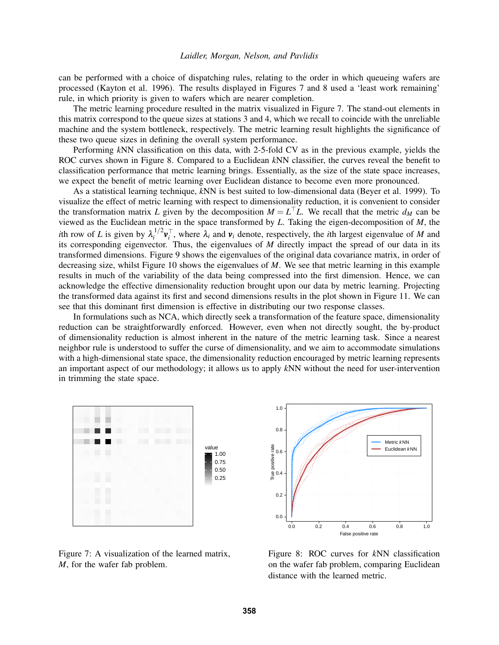can be performed with a choice of dispatching rules, relating to the order in which queueing wafers are processed [\(Kayton et al. 1996\)](#page-11-14). The results displayed in Figures [7](#page-9-0) and [8](#page-9-1) used a 'least work remaining' rule, in which priority is given to wafers which are nearer completion.

The metric learning procedure resulted in the matrix visualized in Figure [7.](#page-9-0) The stand-out elements in this matrix correspond to the queue sizes at stations 3 and 4, which we recall to coincide with the unreliable machine and the system bottleneck, respectively. The metric learning result highlights the significance of these two queue sizes in defining the overall system performance.

Performing *k*NN classification on this data, with 2-5-fold CV as in the previous example, yields the ROC curves shown in Figure [8.](#page-9-1) Compared to a Euclidean *k*NN classifier, the curves reveal the benefit to classification performance that metric learning brings. Essentially, as the size of the state space increases, we expect the benefit of metric learning over Euclidean distance to become even more pronounced.

As a statistical learning technique, *k*NN is best suited to low-dimensional data [\(Beyer et al. 1999\)](#page-10-7). To visualize the effect of metric learning with respect to dimensionality reduction, it is convenient to consider the transformation matrix *L* given by the decomposition  $M = L<sup>T</sup>L$ . We recall that the metric  $d_M$  can be viewed as the Euclidean metric in the space transformed by *L*. Taking the eigen-decomposition of *M*, the *i*th row of *L* is given by  $\lambda_i^{1/2}$  $i^2 v_i^T$ , where  $\lambda_i$  and  $v_i$  denote, respectively, the *i*th largest eigenvalue of *M* and its corresponding eigenvector. Thus, the eigenvalues of *M* directly impact the spread of our data in its transformed dimensions. Figure [9](#page-10-8) shows the eigenvalues of the original data covariance matrix, in order of decreasing size, whilst Figure [10](#page-10-9) shows the eigenvalues of *M*. We see that metric learning in this example results in much of the variability of the data being compressed into the first dimension. Hence, we can acknowledge the effective dimensionality reduction brought upon our data by metric learning. Projecting the transformed data against its first and second dimensions results in the plot shown in Figure [11.](#page-10-10) We can see that this dominant first dimension is effective in distributing our two response classes.

In formulations such as NCA, which directly seek a transformation of the feature space, dimensionality reduction can be straightforwardly enforced. However, even when not directly sought, the by-product of dimensionality reduction is almost inherent in the nature of the metric learning task. Since a nearest neighbor rule is understood to suffer the curse of dimensionality, and we aim to accommodate simulations with a high-dimensional state space, the dimensionality reduction encouraged by metric learning represents an important aspect of our methodology; it allows us to apply *k*NN without the need for user-intervention in trimming the state space.



<span id="page-9-0"></span>Figure 7: A visualization of the learned matrix, *M*, for the wafer fab problem.



<span id="page-9-1"></span>Figure 8: ROC curves for *k*NN classification on the wafer fab problem, comparing Euclidean distance with the learned metric.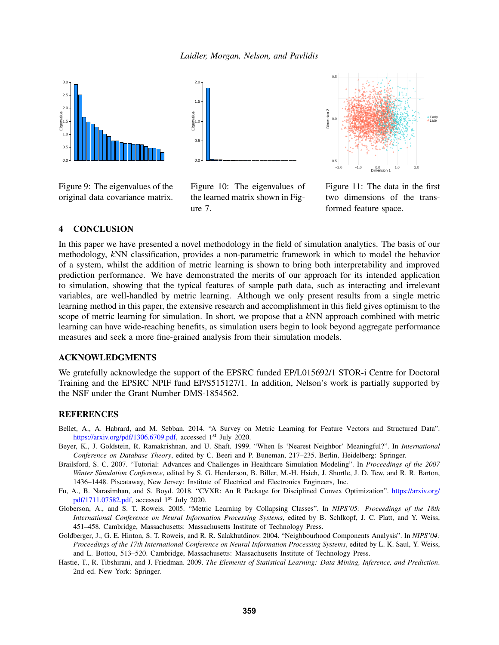

<span id="page-10-8"></span>Figure 9: The eigenvalues of the original data covariance matrix.



<span id="page-10-9"></span>Figure 10: The eigenvalues of the learned matrix shown in Figure [7.](#page-9-0)



<span id="page-10-10"></span>Figure 11: The data in the first two dimensions of the transformed feature space.

## <span id="page-10-1"></span>4 CONCLUSION

In this paper we have presented a novel methodology in the field of simulation analytics. The basis of our methodology, *k*NN classification, provides a non-parametric framework in which to model the behavior of a system, whilst the addition of metric learning is shown to bring both interpretability and improved prediction performance. We have demonstrated the merits of our approach for its intended application to simulation, showing that the typical features of sample path data, such as interacting and irrelevant variables, are well-handled by metric learning. Although we only present results from a single metric learning method in this paper, the extensive research and accomplishment in this field gives optimism to the scope of metric learning for simulation. In short, we propose that a *k*NN approach combined with metric learning can have wide-reaching benefits, as simulation users begin to look beyond aggregate performance measures and seek a more fine-grained analysis from their simulation models.

### ACKNOWLEDGMENTS

We gratefully acknowledge the support of the EPSRC funded EP/L015692/1 STOR-i Centre for Doctoral Training and the EPSRC NPIF fund EP/S515127/1. In addition, Nelson's work is partially supported by the NSF under the Grant Number DMS-1854562.

### REFERENCES

- <span id="page-10-3"></span>Bellet, A., A. Habrard, and M. Sebban. 2014. "A Survey on Metric Learning for Feature Vectors and Structured Data". [https://arxiv.org/pdf/1306.6709.pdf,](https://arxiv.org/pdf/1306.6709.pdf) accessed 1<sup>st</sup> July 2020.
- <span id="page-10-7"></span>Beyer, K., J. Goldstein, R. Ramakrishnan, and U. Shaft. 1999. "When Is 'Nearest Neighbor' Meaningful?". In *International Conference on Database Theory*, edited by C. Beeri and P. Buneman, 217–235. Berlin, Heidelberg: Springer.
- <span id="page-10-0"></span>Brailsford, S. C. 2007. "Tutorial: Advances and Challenges in Healthcare Simulation Modeling". In *Proceedings of the 2007 Winter Simulation Conference*, edited by S. G. Henderson, B. Biller, M.-H. Hsieh, J. Shortle, J. D. Tew, and R. R. Barton, 1436–1448. Piscataway, New Jersey: Institute of Electrical and Electronics Engineers, Inc.
- <span id="page-10-6"></span>Fu, A., B. Narasimhan, and S. Boyd. 2018. "CVXR: An R Package for Disciplined Convex Optimization". [https://arxiv.org/](https://arxiv.org/pdf/1711.07582.pdf) [pdf/1711.07582.pdf,](https://arxiv.org/pdf/1711.07582.pdf) accessed 1st July 2020.
- <span id="page-10-5"></span>Globerson, A., and S. T. Roweis. 2005. "Metric Learning by Collapsing Classes". In *NIPS'05: Proceedings of the 18th International Conference on Neural Information Processing Systems*, edited by B. Schlkopf, J. C. Platt, and Y. Weiss, 451–458. Cambridge, Massachusetts: Massachusetts Institute of Technology Press.
- <span id="page-10-4"></span>Goldberger, J., G. E. Hinton, S. T. Roweis, and R. R. Salakhutdinov. 2004. "Neighbourhood Components Analysis". In *NIPS'04: Proceedings of the 17th International Conference on Neural Information Processing Systems*, edited by L. K. Saul, Y. Weiss, and L. Bottou, 513–520. Cambridge, Massachusetts: Massachusetts Institute of Technology Press.
- <span id="page-10-2"></span>Hastie, T., R. Tibshirani, and J. Friedman. 2009. *The Elements of Statistical Learning: Data Mining, Inference, and Prediction*. 2nd ed. New York: Springer.